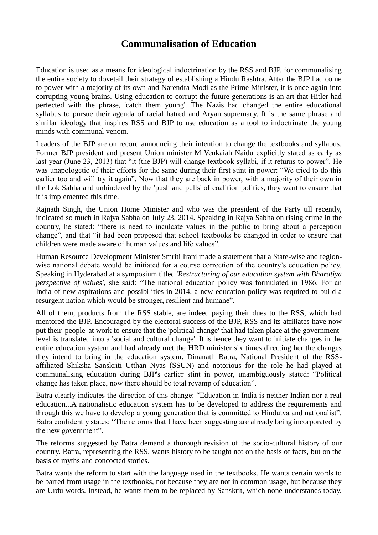# **Communalisation of Education**

Education is used as a means for ideological indoctrination by the RSS and BJP, for communalising the entire society to dovetail their strategy of establishing a Hindu Rashtra. After the BJP had come to power with a majority of its own and Narendra Modi as the Prime Minister, it is once again into corrupting young brains. Using education to corrupt the future generations is an art that Hitler had perfected with the phrase, 'catch them young'. The Nazis had changed the entire educational syllabus to pursue their agenda of racial hatred and Aryan supremacy. It is the same phrase and similar ideology that inspires RSS and BJP to use education as a tool to indoctrinate the young minds with communal venom.

Leaders of the BJP are on record announcing their intention to change the textbooks and syllabus. Former BJP president and present Union minister M Venkaiah Naidu explicitly stated as early as last year (June 23, 2013) that "it (the BJP) will change textbook syllabi, if it returns to power". He was unapologetic of their efforts for the same during their first stint in power: "We tried to do this earlier too and will try it again". Now that they are back in power, with a majority of their own in the Lok Sabha and unhindered by the 'push and pulls' of coalition politics, they want to ensure that it is implemented this time.

Rajnath Singh, the Union Home Minister and who was the president of the Party till recently, indicated so much in Rajya Sabha on July 23, 2014. Speaking in Rajya Sabha on rising crime in the country, he stated: "there is need to inculcate values in the public to bring about a perception change", and that "it had been proposed that school textbooks be changed in order to ensure that children were made aware of human values and life values".

Human Resource Development Minister Smriti Irani made a statement that a State-wise and regionwise national debate would be initiated for a course correction of the country's education policy. Speaking in Hyderabad at a symposium titled '*Restructuring of our education system with Bharatiya perspective of values'*, she said: "The national education policy was formulated in 1986. For an India of new aspirations and possibilities in 2014, a new education policy was required to build a resurgent nation which would be stronger, resilient and humane".

All of them, products from the RSS stable, are indeed paying their dues to the RSS, which had mentored the BJP. Encouraged by the electoral success of the BJP, RSS and its affiliates have now put their 'people' at work to ensure that the 'political change' that had taken place at the governmentlevel is translated into a 'social and cultural change'. It is hence they want to initiate changes in the entire education system and had already met the HRD minister six times directing her the changes they intend to bring in the education system. Dinanath Batra, National President of the RSSaffiliated Shiksha Sanskriti Utthan Nyas (SSUN) and notorious for the role he had played at communalising education during BJP's earlier stint in power, unambiguously stated: "Political change has taken place, now there should be total revamp of education".

Batra clearly indicates the direction of this change: "Education in India is neither Indian nor a real education...A nationalistic education system has to be developed to address the requirements and through this we have to develop a young generation that is committed to Hindutva and nationalist". Batra confidently states: "The reforms that I have been suggesting are already being incorporated by the new government".

The reforms suggested by Batra demand a thorough revision of the socio-cultural history of our country. Batra, representing the RSS, wants history to be taught not on the basis of facts, but on the basis of myths and concocted stories.

Batra wants the reform to start with the language used in the textbooks. He wants certain words to be barred from usage in the textbooks, not because they are not in common usage, but because they are Urdu words. Instead, he wants them to be replaced by Sanskrit, which none understands today.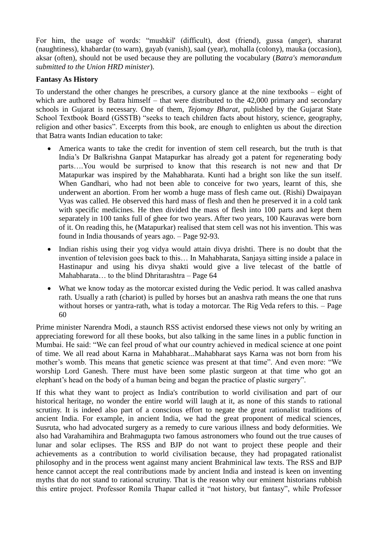For him, the usage of words: "mushkil' (difficult), dost (friend), gussa (anger), shararat (naughtiness), khabardar (to warn), gayab (vanish), saal (year), mohalla (colony), mauka (occasion), aksar (often), should not be used because they are polluting the vocabulary (*Batra's memorandum submitted to the Union HRD minister*).

## **Fantasy As History**

To understand the other changes he prescribes, a cursory glance at the nine textbooks – eight of which are authored by Batra himself – that were distributed to the 42,000 primary and secondary schools in Gujarat is necessary. One of them, *Tejomay Bharat*, published by the Gujarat State School Textbook Board (GSSTB) "seeks to teach children facts about history, science, geography, religion and other basics". Excerpts from this book, are enough to enlighten us about the direction that Batra wants Indian education to take:

- America wants to take the credit for invention of stem cell research, but the truth is that India's Dr Balkrishna Ganpat Matapurkar has already got a patent for regenerating body parts….You would be surprised to know that this research is not new and that Dr Matapurkar was inspired by the Mahabharata. Kunti had a bright son like the sun itself. When Gandhari, who had not been able to conceive for two years, learnt of this, she underwent an abortion. From her womb a huge mass of flesh came out. (Rishi) Dwaipayan Vyas was called. He observed this hard mass of flesh and then he preserved it in a cold tank with specific medicines. He then divided the mass of flesh into 100 parts and kept them separately in 100 tanks full of ghee for two years. After two years, 100 Kauravas were born of it. On reading this, he (Matapurkar) realised that stem cell was not his invention. This was found in India thousands of years ago. – Page 92-93.
- Indian rishis using their yog vidya would attain divya drishti. There is no doubt that the invention of television goes back to this… In Mahabharata, Sanjaya sitting inside a palace in Hastinapur and using his divya shakti would give a live telecast of the battle of Mahabharata… to the blind Dhritarashtra – Page 64
- What we know today as the motorcar existed during the Vedic period. It was called anashva rath. Usually a rath (chariot) is pulled by horses but an anashva rath means the one that runs without horses or yantra-rath, what is today a motorcar. The Rig Veda refers to this. – Page 60

Prime minister Narendra Modi, a staunch RSS activist endorsed these views not only by writing an appreciating foreword for all these books, but also talking in the same lines in a public function in Mumbai. He said: "We can feel proud of what our country achieved in medical science at one point of time. We all read about Karna in Mahabharat...Mahabharat says Karna was not born from his mother's womb. This means that genetic science was present at that time". And even more: "We worship Lord Ganesh. There must have been some plastic surgeon at that time who got an elephant's head on the body of a human being and began the practice of plastic surgery".

If this what they want to project as India's contribution to world civilisation and part of our historical heritage, no wonder the entire world will laugh at it, as none of this stands to rational scrutiny. It is indeed also part of a conscious effort to negate the great rationalist traditions of ancient India. For example, in ancient India, we had the great proponent of medical sciences, Susruta, who had advocated surgery as a remedy to cure various illness and body deformities. We also had Varahamihira and Brahmagupta two famous astronomers who found out the true causes of lunar and solar eclipses. The RSS and BJP do not want to project these people and their achievements as a contribution to world civilisation because, they had propagated rationalist philosophy and in the process went against many ancient Brahminical law texts. The RSS and BJP hence cannot accept the real contributions made by ancient India and instead is keen on inventing myths that do not stand to rational scrutiny. That is the reason why our eminent historians rubbish this entire project. Professor Romila Thapar called it "not history, but fantasy", while Professor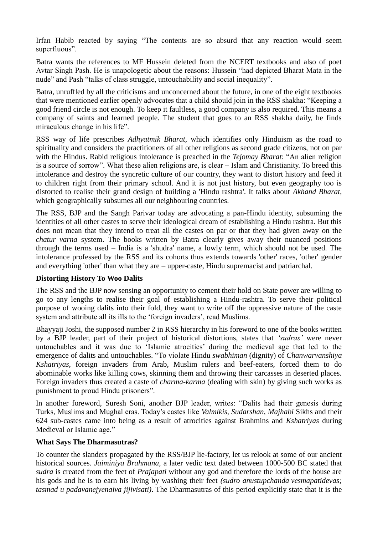Irfan Habib reacted by saying "The contents are so absurd that any reaction would seem superfluous".

Batra wants the references to MF Hussein deleted from the NCERT textbooks and also of poet Avtar Singh Pash. He is unapologetic about the reasons: Hussein "had depicted Bharat Mata in the nude" and Pash "talks of class struggle, untouchability and social inequality".

Batra, unruffled by all the criticisms and unconcerned about the future, in one of the eight textbooks that were mentioned earlier openly advocates that a child should join in the RSS shakha: "Keeping a good friend circle is not enough. To keep it faultless, a good company is also required. This means a company of saints and learned people. The student that goes to an RSS shakha daily, he finds miraculous change in his life".

RSS way of life prescribes *Adhyatmik Bharat*, which identifies only Hinduism as the road to spirituality and considers the practitioners of all other religions as second grade citizens, not on par with the Hindus. Rabid religious intolerance is preached in the *Tejomay Bharat*: "An alien religion is a source of sorrow". What these alien religions are, is clear – Islam and Christianity. To breed this intolerance and destroy the syncretic culture of our country, they want to distort history and feed it to children right from their primary school. And it is not just history, but even geography too is distorted to realise their grand design of building a 'Hindu rashtra'. It talks about *Akhand Bharat*, which geographically subsumes all our neighbouring countries.

The RSS, BJP and the Sangh Parivar today are advocating a pan-Hindu identity, subsuming the identities of all other castes to serve their ideological dream of establishing a Hindu rashtra. But this does not mean that they intend to treat all the castes on par or that they had given away on the *chatur varna* system. The books written by Batra clearly gives away their nuanced positions through the terms used – India is a 'shudra' name, a lowly term, which should not be used. The intolerance professed by the RSS and its cohorts thus extends towards 'other' races, 'other' gender and everything 'other' than what they are – upper-caste, Hindu supremacist and patriarchal.

### **Distorting History To Woo Dalits**

The RSS and the BJP now sensing an opportunity to cement their hold on State power are willing to go to any lengths to realise their goal of establishing a Hindu-rashtra. To serve their political purpose of wooing dalits into their fold, they want to write off the oppressive nature of the caste system and attribute all its ills to the 'foreign invaders', read Muslims.

Bhayyaji Joshi, the supposed number 2 in RSS hierarchy in his foreword to one of the books written by a BJP leader, part of their project of historical distortions, states that *'sudras'* were never untouchables and it was due to 'Islamic atrocities' during the medieval age that led to the emergence of dalits and untouchables. "To violate Hindu *swabhiman* (dignity) of *Chanwarvanshiya Kshatriyas*, foreign invaders from Arab, Muslim rulers and beef-eaters, forced them to do abominable works like killing cows, skinning them and throwing their carcasses in deserted places. Foreign invaders thus created a caste of *charma-karma* (dealing with skin) by giving such works as punishment to proud Hindu prisoners".

In another foreword, Suresh Soni, another BJP leader, writes: "Dalits had their genesis during Turks, Muslims and Mughal eras. Today's castes like *Valmikis*, *Sudarshan*, *Majhabi* Sikhs and their 624 sub-castes came into being as a result of atrocities against Brahmins and *Kshatriyas* during Medieval or Islamic age."

### **What Says The Dharmasutras?**

To counter the slanders propagated by the RSS/BJP lie-factory, let us relook at some of our ancient historical sources. *Jaiminiya Brahmana*, a later vedic text dated between 1000-500 BC stated that *sudra* is created from the feet of *Prajapati* without any god and therefore the lords of the house are his gods and he is to earn his living by washing their feet *(sudro anustupchanda vesmapatidevas; tasmad u padavanejyenaiva jijivisati)*. The Dharmasutras of this period explicitly state that it is the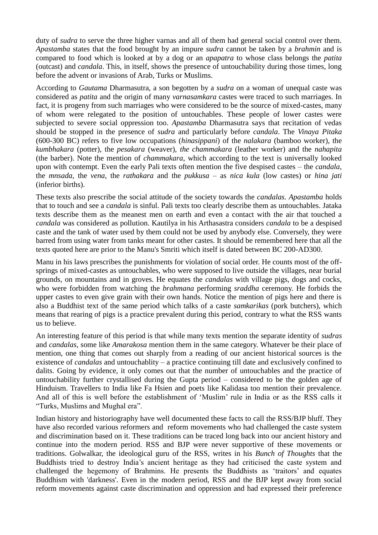duty of *sudra* to serve the three higher varnas and all of them had general social control over them. *Apastamba* states that the food brought by an impure *sudra* cannot be taken by a *brahmin* and is compared to food which is looked at by a dog or an *apapatra* to whose class belongs the *patita* (outcast) and *candala*. This, in itself, shows the presence of untouchability during those times, long before the advent or invasions of Arab, Turks or Muslims.

According to *Gautama* Dharmasutra, a son begotten by a *sudra* on a woman of unequal caste was considered as *patita* and the origin of many *varnasamkara* castes were traced to such marriages. In fact, it is progeny from such marriages who were considered to be the source of mixed-castes, many of whom were relegated to the position of untouchables. These people of lower castes were subjected to severe social oppression too. *Apastamba* Dharmasutra says that recitation of vedas should be stopped in the presence of *sudra* and particularly before *candala*. The *Vinaya Pitaka* (600-300 BC) refers to five low occupations (*hinasippani*) of the *nalakara* (bamboo worker), the *kumbhakara* (potter), the *pesakara* (weaver), *the chammakara* (leather worker) and the *nahapita* (the barber). Note the mention of *chammakara*, which according to the text is universally looked upon with contempt. Even the early Pali texts often mention the five despised castes – the *candala*, the *mnsada*, the *vena*, the *rathakara* and the *pukkusa* – as *nica kula* (low castes) or *hina jati* (inferior births).

These texts also prescribe the social attitude of the society towards the *candalas. Apastamba* holds that to touch and see a *candala* is sinful. Pali texts too clearly describe them as untouchables. Jataka texts describe them as the meanest men on earth and even a contact with the air that touched a *candala* was considered as pollution. Kautilya in his Arthasastra considers *candala* to be a despised caste and the tank of water used by them could not be used by anybody else. Conversely, they were barred from using water from tanks meant for other castes. It should be remembered here that all the texts quoted here are prior to the Manu's Smriti which itself is dated between BC 200-AD300.

Manu in his laws prescribes the punishments for violation of social order. He counts most of the offsprings of mixed-castes as untouchables, who were supposed to live outside the villages, near burial grounds, on mountains and in groves. He equates the *candalas* with village pigs, dogs and cocks, who were forbidden from watching the *brahmana* performing *sraddha* ceremony. He forbids the upper castes to even give grain with their own hands. Notice the mention of pigs here and there is also a Buddhist text of the same period which talks of a caste *samkarikas* (pork butchers), which means that rearing of pigs is a practice prevalent during this period, contrary to what the RSS wants us to believe.

An interesting feature of this period is that while many texts mention the separate identity of *sudras* and *candalas*, some like *Amarakosa* mention them in the same category. Whatever be their place of mention, one thing that comes out sharply from a reading of our ancient historical sources is the existence of *candalas* and untouchablity – a practice continuing till date and exclusively confined to dalits. Going by evidence, it only comes out that the number of untouchables and the practice of untouchability further crystallised during the Gupta period – considered to be the golden age of Hinduism. Travellers to India like Fa Hsien and poets like Kalidasa too mention their prevalence. And all of this is well before the establishment of ‗Muslim' rule in India or as the RSS calls it "Turks, Muslims and Mughal era".

Indian history and historiography have well documented these facts to call the RSS/BJP bluff. They have also recorded various reformers and reform movements who had challenged the caste system and discrimination based on it. These traditions can be traced long back into our ancient history and continue into the modern period. RSS and BJP were never supportive of these movements or traditions. Golwalkar, the ideological guru of the RSS, writes in his *Bunch of Thoughts* that the Buddhists tried to destroy India's ancient heritage as they had criticised the caste system and challenged the hegemony of Brahmins. He presents the Buddhists as 'traitors' and equates Buddhism with 'darkness'. Even in the modern period, RSS and the BJP kept away from social reform movements against caste discrimination and oppression and had expressed their preference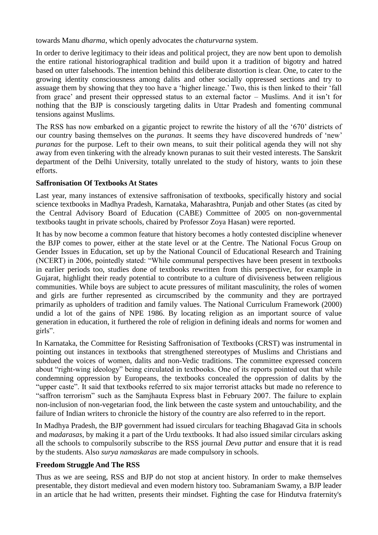towards Manu *dharma*, which openly advocates the *chaturvarna* system.

In order to derive legitimacy to their ideas and political project, they are now bent upon to demolish the entire rational historiographical tradition and build upon it a tradition of bigotry and hatred based on utter falsehoods. The intention behind this deliberate distortion is clear. One, to cater to the growing identity consciousness among dalits and other socially oppressed sections and try to assuage them by showing that they too have a 'higher lineage.' Two, this is then linked to their 'fall from grace' and present their oppressed status to an external factor – Muslims. And it isn't for nothing that the BJP is consciously targeting dalits in Uttar Pradesh and fomenting communal tensions against Muslims.

The RSS has now embarked on a gigantic project to rewrite the history of all the '670' districts of our country basing themselves on the *puranas*. It seems they have discovered hundreds of 'new' *puranas* for the purpose. Left to their own means, to suit their political agenda they will not shy away from even tinkering with the already known puranas to suit their vested interests. The Sanskrit department of the Delhi University, totally unrelated to the study of history, wants to join these efforts.

### **Saffronisation Of Textbooks At States**

Last year, many instances of extensive saffronisation of textbooks, specifically history and social science textbooks in Madhya Pradesh, Karnataka, Maharashtra, Punjab and other States (as cited by the Central Advisory Board of Education (CABE) Committee of 2005 on non-governmental textbooks taught in private schools, chaired by Professor Zoya Hasan) were reported.

It has by now become a common feature that history becomes a hotly contested discipline whenever the BJP comes to power, either at the state level or at the Centre. The National Focus Group on Gender Issues in Education, set up by the National Council of Educational Research and Training (NCERT) in 2006, pointedly stated: "While communal perspectives have been present in textbooks in earlier periods too, studies done of textbooks rewritten from this perspective, for example in Gujarat, highlight their ready potential to contribute to a culture of divisiveness between religious communities. While boys are subject to acute pressures of militant masculinity, the roles of women and girls are further represented as circumscribed by the community and they are portrayed primarily as upholders of tradition and family values. The National Curriculum Framework (2000) undid a lot of the gains of NPE 1986. By locating religion as an important source of value generation in education, it furthered the role of religion in defining ideals and norms for women and girls".

In Karnataka, the Committee for Resisting Saffronisation of Textbooks (CRST) was instrumental in pointing out instances in textbooks that strengthened stereotypes of Muslims and Christians and subdued the voices of women, dalits and non-Vedic traditions. The committee expressed concern about "right-wing ideology" being circulated in textbooks. One of its reports pointed out that while condemning oppression by Europeans, the textbooks concealed the oppression of dalits by the ―upper caste‖. It said that textbooks referred to six major terrorist attacks but made no reference to "saffron terrorism" such as the Samjhauta Express blast in February 2007. The failure to explain non-inclusion of non-vegetarian food, the link between the caste system and untouchability, and the failure of Indian writers to chronicle the history of the country are also referred to in the report.

In Madhya Pradesh, the BJP government had issued circulars for teaching Bhagavad Gita in schools and *madarasas*, by making it a part of the Urdu textbooks. It had also issued similar circulars asking all the schools to compulsorily subscribe to the RSS journal *Deva puttar* and ensure that it is read by the students. Also *surya namaskaras* are made compulsory in schools.

### **Freedom Struggle And The RSS**

Thus as we are seeing, RSS and BJP do not stop at ancient history. In order to make themselves presentable, they distort medieval and even modern history too. Subramaniam Swamy, a BJP leader in an article that he had written, presents their mindset. Fighting the case for Hindutva fraternity's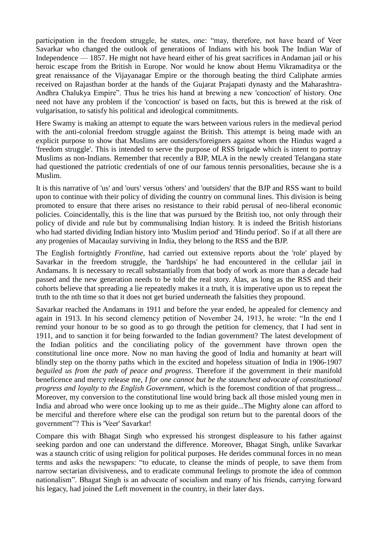participation in the freedom struggle, he states, one: "may, therefore, not have heard of Veer Savarkar who changed the outlook of generations of Indians with his book The Indian War of Independence — 1857. He might not have heard either of his great sacrifices in Andaman jail or his heroic escape from the British in Europe. Nor would he know about Hemu Vikramaditya or the great renaissance of the Vijayanagar Empire or the thorough beating the third Caliphate armies received on Rajasthan border at the hands of the Gujarat Prajapati dynasty and the Maharashtra-Andhra Chalukya Empire". Thus he tries his hand at brewing a new 'concoction' of history. One need not have any problem if the 'concoction' is based on facts, but this is brewed at the risk of vulgarisation, to satisfy his political and ideological commitments.

Here Swamy is making an attempt to equate the wars between various rulers in the medieval period with the anti-colonial freedom struggle against the British. This attempt is being made with an explicit purpose to show that Muslims are outsiders/foreigners against whom the Hindus waged a 'freedom struggle'. This is intended to serve the purpose of RSS brigade which is intent to portray Muslims as non-Indians. Remember that recently a BJP, MLA in the newly created Telangana state had questioned the patriotic credentials of one of our famous tennis personalities, because she is a Muslim.

It is this narrative of 'us' and 'ours' versus 'others' and 'outsiders' that the BJP and RSS want to build upon to continue with their policy of dividing the country on communal lines. This division is being promoted to ensure that there arises no resistance to their rabid perusal of neo-liberal economic policies. Coincidentally, this is the line that was pursued by the British too, not only through their policy of divide and rule but by communalising Indian history. It is indeed the British historians who had started dividing Indian history into 'Muslim period' and 'Hindu period'. So if at all there are any progenies of Macaulay surviving in India, they belong to the RSS and the BJP.

The English fortnightly *Frontline,* had carried out extensive reports about the 'role' played by Savarkar in the freedom struggle, the 'hardships' he had encountered in the cellular jail in Andamans. It is necessary to recall substantially from that body of work as more than a decade had passed and the new generation needs to be told the real story. Alas, as long as the RSS and their cohorts believe that spreading a lie repeatedly makes it a truth, it is imperative upon us to repeat the truth to the nth time so that it does not get buried underneath the falsities they propound.

Savarkar reached the Andamans in 1911 and before the year ended, he appealed for clemency and again in 1913. In his second clemency petition of November 24, 1913, he wrote: "In the end I remind your honour to be so good as to go through the petition for clemency, that I had sent in 1911, and to sanction it for being forwarded to the Indian government? The latest development of the Indian politics and the conciliating policy of the government have thrown open the constitutional line once more. Now no man having the good of India and humanity at heart will blindly step on the thorny paths which in the excited and hopeless situation of India in 1906-1907 *beguiled us from the path of peace and progress*. Therefore if the government in their manifold beneficence and mercy release me, *I for one cannot but be the staunchest advocate of constitutional progress and loyalty to the English Government,* which is the foremost condition of that progress... Moreover, my conversion to the constitutional line would bring back all those misled young men in India and abroad who were once looking up to me as their guide...The Mighty alone can afford to be merciful and therefore where else can the prodigal son return but to the parental doors of the government"? This is 'Veer' Savarkar!

Compare this with Bhagat Singh who expressed his strongest displeasure to his father against seeking pardon and one can understand the difference. Moreover, Bhagat Singh, unlike Savarkar was a staunch critic of using religion for political purposes. He derides communal forces in no mean terms and asks the newspapers: "to educate, to cleanse the minds of people, to save them from narrow sectarian divisiveness, and to eradicate communal feelings to promote the idea of common nationalism". Bhagat Singh is an advocate of socialism and many of his friends, carrying forward his legacy, had joined the Left movement in the country, in their later days.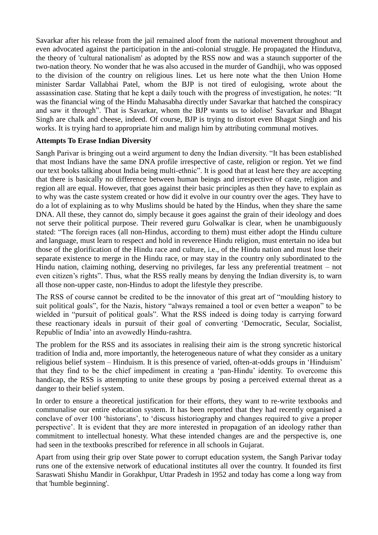Savarkar after his release from the jail remained aloof from the national movement throughout and even advocated against the participation in the anti-colonial struggle. He propagated the Hindutva, the theory of 'cultural nationalism' as adopted by the RSS now and was a staunch supporter of the two-nation theory. No wonder that he was also accused in the murder of Gandhiji, who was opposed to the division of the country on religious lines. Let us here note what the then Union Home minister Sardar Vallabhai Patel, whom the BJP is not tired of eulogising, wrote about the assassination case. Stating that he kept a daily touch with the progress of investigation, he notes: "It was the financial wing of the Hindu Mahasabha directly under Savarkar that hatched the conspiracy and saw it through". That is Savarkar, whom the BJP wants us to idolise! Savarkar and Bhagat Singh are chalk and cheese, indeed. Of course, BJP is trying to distort even Bhagat Singh and his works. It is trying hard to appropriate him and malign him by attributing communal motives.

### **Attempts To Erase Indian Diversity**

Sangh Parivar is bringing out a weird argument to deny the Indian diversity. "It has been established that most Indians have the same DNA profile irrespective of caste, religion or region. Yet we find our text books talking about India being multi-ethnic". It is good that at least here they are accepting that there is basically no difference between human beings and irrespective of caste, religion and region all are equal. However, that goes against their basic principles as then they have to explain as to why was the caste system created or how did it evolve in our country over the ages. They have to do a lot of explaining as to why Muslims should be hated by the Hindus, when they share the same DNA. All these, they cannot do, simply because it goes against the grain of their ideology and does not serve their political purpose. Their revered guru Golwalkar is clear, when he unambiguously stated: "The foreign races (all non-Hindus, according to them) must either adopt the Hindu culture and language, must learn to respect and hold in reverence Hindu religion, must entertain no idea but those of the glorification of the Hindu race and culture, i.e., of the Hindu nation and must lose their separate existence to merge in the Hindu race, or may stay in the country only subordinated to the Hindu nation, claiming nothing, deserving no privileges, far less any preferential treatment – not even citizen's rights". Thus, what the RSS really means by denying the Indian diversity is, to warn all those non-upper caste, non-Hindus to adopt the lifestyle they prescribe.

The RSS of course cannot be credited to be the innovator of this great art of "moulding history to suit political goals", for the Nazis, history "always remained a tool or even better a weapon" to be wielded in "pursuit of political goals". What the RSS indeed is doing today is carrying forward these reactionary ideals in pursuit of their goal of converting ‗Democratic, Secular, Socialist, Republic of India' into an avowedly Hindu-rashtra.

The problem for the RSS and its associates in realising their aim is the strong syncretic historical tradition of India and, more importantly, the heterogeneous nature of what they consider as a unitary religious belief system – Hinduism. It is this presence of varied, often-at-odds groups in 'Hinduism' that they find to be the chief impediment in creating a 'pan-Hindu' identity. To overcome this handicap, the RSS is attempting to unite these groups by posing a perceived external threat as a danger to their belief system.

In order to ensure a theoretical justification for their efforts, they want to re-write textbooks and communalise our entire education system. It has been reported that they had recently organised a conclave of over 100 'historians', to 'discuss historiography and changes required to give a proper perspective'. It is evident that they are more interested in propagation of an ideology rather than commitment to intellectual honesty. What these intended changes are and the perspective is, one had seen in the textbooks prescribed for reference in all schools in Gujarat.

Apart from using their grip over State power to corrupt education system, the Sangh Parivar today runs one of the extensive network of educational institutes all over the country. It founded its first Saraswati Shishu Mandir in Gorakhpur, Uttar Pradesh in 1952 and today has come a long way from that 'humble beginning'.